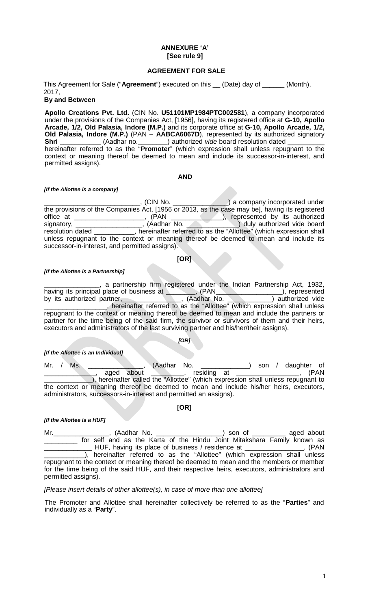#### **ANNEXURE 'A' [See rule 9]**

### **AGREEMENT FOR SALE**

This Agreement for Sale ("**Agreement**") executed on this \_\_ (Date) day of \_\_\_\_\_\_ (Month), 2017,

# **By and Between**

**Apollo Creations Pvt. Ltd.** (CIN No. **U51101MP1984PTC002581**), a company incorporated under the provisions of the Companies Act, [1956], having its registered office at **G-10, Apollo Arcade, 1/2, Old Palasia, Indore (M.P.)** and its corporate office at **G-10, Apollo Arcade, 1/2, Old Palasia, Indore (M.P.)** (PAN – **AABCA6067D**), represented by its authorized signatory **Shri \_\_\_\_\_\_\_\_\_\_\_** (Aadhar no.**\_\_\_\_\_\_\_\_**) authorized *vide* board resolution dated \_\_\_\_\_\_\_\_\_\_ hereinafter referred to as the "**Promoter**" (which expression shall unless repugnant to the context or meaning thereof be deemed to mean and include its successor-in-interest, and permitted assigns).

#### **AND**

#### *[If the Allottee is a company]*

\_\_\_\_\_\_\_\_\_\_\_\_\_\_\_\_\_\_\_\_\_\_\_\_\_\_, (CIN No. \_\_\_\_\_\_\_\_\_\_\_\_\_\_\_) a company incorporated under the provisions of the Companies Act, [1956 or 2013, as the case may be], having its registered office at \_\_\_\_\_\_\_\_\_\_\_\_\_\_, (PAN \_\_\_\_\_\_\_\_\_\_), represented by its authorized signatory, \_\_\_\_\_\_\_\_\_\_\_, (Aadhar No. \_\_\_\_\_\_\_\_\_\_\_) duly authorized vide board signatory, \_\_\_\_\_\_\_\_\_\_\_\_\_\_\_\_\_\_\_\_, (Aadhar No. \_\_\_\_\_\_\_\_\_\_\_\_\_\_\_\_) duly authorized vide board resolution dated \_\_\_\_\_\_\_\_\_\_\_, hereinafter referred to as the "Allottee" (which expression shall unless repugnant to the context or meaning thereof be deemed to mean and include its successor-in-interest, and permitted assigns).

#### **[OR]**

#### *[If the Allottee is a Partnership]*

a partnership firm registered under the Indian Partnership Act, 1932,<br>I place of business at \_\_\_\_\_\_\_\_, (PAN\_\_\_\_\_\_\_\_\_\_\_\_\_\_\_\_\_\_\_), represented having its principal place of business at \_\_\_\_\_\_, (PAN\_\_\_\_\_\_\_\_\_\_\_\_\_), represented<br>by its authorized partner, \_\_\_\_\_\_\_\_\_\_\_\_, (Aadhar No. \_\_\_\_\_\_\_\_) authorized vide by its authorized partner, mish, and the contract of the temperature of the temperature of the second temperature of the second temperature of the second temperature of the second temperature of the second temperature of the second temperature of th repugnant to the context or meaning thereof be deemed to mean and include the partners or partner for the time being of the said firm, the survivor or survivors of them and their heirs, executors and administrators of the last surviving partner and his/her/their assigns).

### *[OR]*

*[If the Allottee is an Individual]*

Mr. / Ms. \_\_\_\_\_\_\_\_\_\_\_\_\_\_\_, (Aadhar No. \_\_\_\_\_\_\_\_\_\_\_\_) son / daughter of <br>\_\_\_\_\_\_\_\_\_\_\_\_\_\_\_, aged about \_\_\_\_\_\_\_\_\_, residing at \_\_\_\_\_\_\_\_\_\_\_\_\_\_\_\_\_, (PAN \_, residing at \_ ), hereinafter called the "Allottee" (which expression shall unless repugnant to the context or meaning thereof be deemed to mean and include his/her heirs, executors, administrators, successors-in-interest and permitted an assigns).

**[OR]**

*[If the Allottee is a HUF]*

Mr. \_\_\_\_\_\_\_\_\_\_\_\_\_\_\_\_\_, (Aadhar No. \_\_\_\_\_\_\_\_\_\_\_\_\_\_\_\_\_\_\_\_\_\_) son of \_\_\_\_\_\_\_\_ aged about for self and as the Karta of the Hindu Joint Mitakshara Family known as<br>\_\_\_\_\_\_ HUF, having its place of business / residence at ... (PAN \_\_\_\_\_\_\_\_\_\_\_\_\_ HUF, having its place of business / residence at \_\_\_\_\_\_\_\_\_\_\_\_\_\_\_\_, (PAN \_\_\_\_\_\_\_\_\_\_\_), hereinafter referred to as the "Allottee" (which expression shall unless repugnant to the context or meaning thereof be deemed to mean and the members or member for the time being of the said HUF, and their respective heirs, executors, administrators and permitted assigns).

#### *[Please insert details of other allottee(s), in case of more than one allottee]*

The Promoter and Allottee shall hereinafter collectively be referred to as the "**Parties**" and individually as a "**Party**".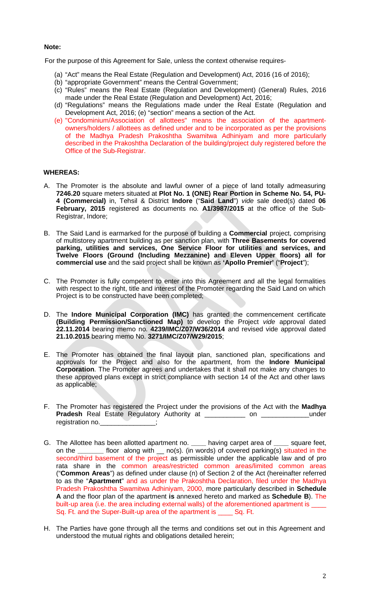#### **Note:**

For the purpose of this Agreement for Sale, unless the context otherwise requires-

- (a) "Act" means the Real Estate (Regulation and Development) Act, 2016 (16 of 2016);
- (b) "appropriate Government" means the Central Government;
- (c) "Rules" means the Real Estate (Regulation and Development) (General) Rules, 2016 made under the Real Estate (Regulation and Development) Act, 2016;
- (d) "Regulations" means the Regulations made under the Real Estate (Regulation and Development Act, 2016; (e) "section" means a section of the Act.
- (e) "Condominium/Association of allottees" means the association of the apartmentowners/holders / allottees as defined under and to be incorporated as per the provisions of the Madhya Pradesh Prakoshtha Swamitwa Adhiniyam and more particularly described in the Prakoshtha Declaration of the building/project duly registered before the Office of the Sub-Registrar.

# **WHEREAS:**

- A. The Promoter is the absolute and lawful owner of a piece of land totally admeasuring **7246.20** square meters situated at **Plot No. 1 (ONE) Rear Portion in Scheme No. 54, PU-4 (Commercial)** in, Tehsil & District **Indore** ("**Said Land**") *vide* sale deed(s) dated **06 February, 2015** registered as documents no. **A1/3987/2015** at the office of the Sub-Registrar, Indore;
- B. The Said Land is earmarked for the purpose of building a **Commercial** project, comprising of multistorey apartment building as per sanction plan, with **Three Basements for covered parking, utilities and services, One Service Floor for utilities and services, and Twelve Floors (Ground (Including Mezzanine) and Eleven Upper floors) all for commercial use** and the said project shall be known as **'Apollo Premier'** ("**Project**");
- C. The Promoter is fully competent to enter into this Agreement and all the legal formalities with respect to the right, title and interest of the Promoter regarding the Said Land on which Project is to be constructed have been completed;
- D. The **Indore Municipal Corporation (IMC)** has granted the commencement certificate **(Building Permission/Sanctioned Map)** to develop the Project *vide* approval dated **22.11.2014** bearing memo no. **4239/IMC/Z07/W36/2014** and revised vide approval dated **21.10.2015** bearing memo No. **3271/IMC/Z07/W29/2015**;
- E. The Promoter has obtained the final layout plan, sanctioned plan, specifications and approvals for the Project and also for the apartment, from the **Indore Municipal Corporation**. The Promoter agrees and undertakes that it shall not make any changes to these approved plans except in strict compliance with section 14 of the Act and other laws as applicable;
- F. The Promoter has registered the Project under the provisions of the Act with the **Madhya Pradesh** Real Estate Regulatory Authority at \_\_\_\_\_\_\_\_\_\_\_ on \_\_\_\_\_\_\_\_\_\_\_\_\_under registration no.
- G. The Allottee has been allotted apartment no. **\_\_\_\_** having carpet area of **\_\_\_\_** square feet, on the **\_\_\_\_\_\_\_** floor along with \_\_ no(s). (in words) of covered parking(s) situated in the second/third basement of the project as permissible under the applicable law and of pro rata share in the common areas/restricted common areas/limited common areas ("**Common Areas**") as defined under clause (n) of Section 2 of the Act (hereinafter referred to as the "**Apartment**" and as under the Prakoshtha Declaration, filed under the Madhya Pradesh Prakoshtha Swamitwa Adhiniyam, 2000, more particularly described in **Schedule A** and the floor plan of the apartment **is** annexed hereto and marked as **Schedule B**). The built-up area (i.e. the area including external walls) of the aforementioned apartment is Sq. Ft. and the Super-Built-up area of the apartment is Sq. Ft.
- H. The Parties have gone through all the terms and conditions set out in this Agreement and understood the mutual rights and obligations detailed herein;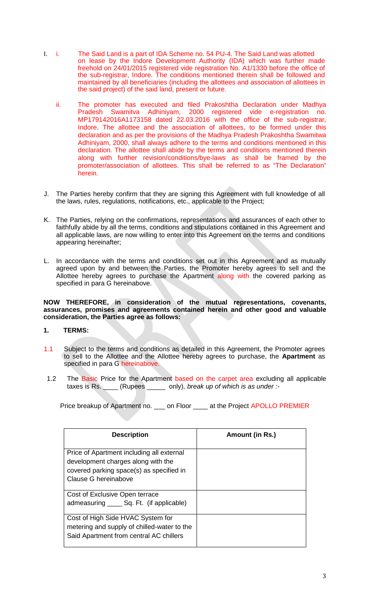- I. i. The Said Land is a part of IDA Scheme no. 54 PU-4. The Said Land was allotted on lease by the Indore Development Authority (IDA) which was further made freehold on 24/01/2015 registered vide registration No. A1/1330 before the office of the sub-registrar, Indore. The conditions mentioned therein shall be followed and maintained by all beneficiaries (including the allottees and association of allottees in the said project) of the said land, present or future.
	- ii. The promoter has executed and filed Prakoshtha Declaration under Madhya Pradesh Swamitva Adhiniyam, 2000 registered vide e-registration no. MP179142016A1173158 dated 22.03.2016 with the office of the sub-registrar, Indore. The allottee and the association of allottees, to be formed under this declaration and as per the provisions of the Madhya Pradesh Prakoshtha Swamitwa Adhiniyam, 2000, shall always adhere to the terms and conditions mentioned in this declaration. The allottee shall abide by the terms and conditions mentioned therein along with further revision/conditions/bye-laws as shall be framed by the promoter/association of allottees. This shall be referred to as "The Declaration" herein.
- J. The Parties hereby confirm that they are signing this Agreement with full knowledge of all the laws, rules, regulations, notifications, etc., applicable to the Project;
- K. The Parties, relying on the confirmations, representations and assurances of each other to faithfully abide by all the terms, conditions and stipulations contained in this Agreement and all applicable laws, are now willing to enter into this Agreement on the terms and conditions appearing hereinafter;
- L. In accordance with the terms and conditions set out in this Agreement and as mutually agreed upon by and between the Parties, the Promoter hereby agrees to sell and the Allottee hereby agrees to purchase the Apartment along with the covered parking as specified in para G hereinabove.

**NOW THEREFORE, in consideration of the mutual representations, covenants, assurances, promises and agreements contained herein and other good and valuable consideration, the Parties agree as follows:**

- **1. TERMS:**
- 1.1 Subject to the terms and conditions as detailed in this Agreement, the Promoter agrees to sell to the Allottee and the Allottee hereby agrees to purchase, the **Apartment** as specified in para G hereinabove.
- 1.2 The Basic Price for the Apartment based on the carpet area excluding all applicable taxes is Rs. \_\_\_\_ (Rupees \_\_\_\_\_ only)*, break up of which is as under :-*

Price breakup of Apartment no. \_\_\_ on Floor \_\_\_\_ at the Project APOLLO PREMIER

| <b>Description</b>                                                                                                                                  | Amount (in Rs.) |
|-----------------------------------------------------------------------------------------------------------------------------------------------------|-----------------|
| Price of Apartment including all external<br>development charges along with the<br>covered parking space(s) as specified in<br>Clause G hereinabove |                 |
| Cost of Exclusive Open terrace<br>admeasuring ______ Sq. Ft. (if applicable)                                                                        |                 |
| Cost of High Side HVAC System for<br>metering and supply of chilled-water to the<br>Said Apartment from central AC chillers                         |                 |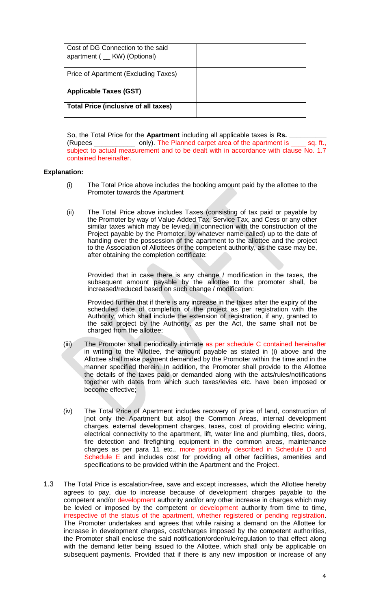| Cost of DG Connection to the said<br>apartment ( __ KW) (Optional) |  |
|--------------------------------------------------------------------|--|
| Price of Apartment (Excluding Taxes)                               |  |
| <b>Applicable Taxes (GST)</b>                                      |  |
| <b>Total Price (inclusive of all taxes)</b>                        |  |

So, the Total Price for the **Apartment** including all applicable taxes is **Rs. \_\_\_\_\_\_\_\_\_\_** (Rupees \_\_\_\_\_\_\_\_\_\_\_ only). The Planned carpet area of the apartment is \_\_\_\_ sq. ft., subject to actual measurement and to be dealt with in accordance with clause No. 1.7 contained hereinafter.

## **Explanation:**

- (i) The Total Price above includes the booking amount paid by the allottee to the Promoter towards the Apartment
- (ii) The Total Price above includes Taxes (consisting of tax paid or payable by the Promoter by way of Value Added Tax, Service Tax, and Cess or any other similar taxes which may be levied, in connection with the construction of the Project payable by the Promoter, by whatever name called) up to the date of handing over the possession of the apartment to the allottee and the project to the Association of Allottees or the competent authority, as the case may be, after obtaining the completion certificate:

Provided that in case there is any change / modification in the taxes, the subsequent amount payable by the allottee to the promoter shall, be increased/reduced based on such change / modification:

Provided further that if there is any increase in the taxes after the expiry of the scheduled date of completion of the project as per registration with the Authority, which shall include the extension of registration, if any, granted to the said project by the Authority, as per the Act, the same shall not be charged from the allottee;

- (iii) The Promoter shall periodically intimate as per schedule C contained hereinafter in writing to the Allottee, the amount payable as stated in (i) above and the Allottee shall make payment demanded by the Promoter within the time and in the manner specified therein. In addition, the Promoter shall provide to the Allottee the details of the taxes paid or demanded along with the acts/rules/notifications together with dates from which such taxes/levies etc. have been imposed or become effective;
- (iv) The Total Price of Apartment includes recovery of price of land, construction of [not only the Apartment but also] the Common Areas, internal development charges, external development charges, taxes, cost of providing electric wiring, electrical connectivity to the apartment, lift, water line and plumbing, tiles, doors, fire detection and firefighting equipment in the common areas, maintenance charges as per para 11 etc., more particularly described in Schedule D and Schedule E and includes cost for providing all other facilities, amenities and specifications to be provided within the Apartment and the Project.
- 1.3 The Total Price is escalation-free, save and except increases, which the Allottee hereby agrees to pay, due to increase because of development charges payable to the competent and/or development authority and/or any other increase in charges which may be levied or imposed by the competent or development authority from time to time, irrespective of the status of the apartment, whether registered or pending registration. The Promoter undertakes and agrees that while raising a demand on the Allottee for increase in development charges, cost/charges imposed by the competent authorities, the Promoter shall enclose the said notification/order/rule/regulation to that effect along with the demand letter being issued to the Allottee, which shall only be applicable on subsequent payments. Provided that if there is any new imposition or increase of any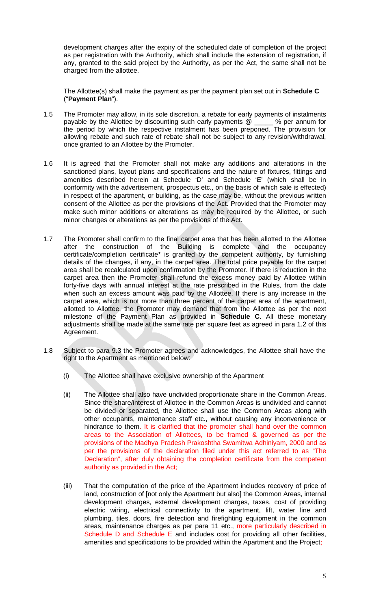development charges after the expiry of the scheduled date of completion of the project as per registration with the Authority, which shall include the extension of registration, if any, granted to the said project by the Authority, as per the Act, the same shall not be charged from the allottee.

The Allottee(s) shall make the payment as per the payment plan set out in **Schedule C** ("**Payment Plan**").

- 1.5 The Promoter may allow, in its sole discretion, a rebate for early payments of instalments payable by the Allottee by discounting such early payments @ \_\_\_\_\_ % per annum for the period by which the respective instalment has been preponed. The provision for allowing rebate and such rate of rebate shall not be subject to any revision/withdrawal, once granted to an Allottee by the Promoter.
- 1.6 It is agreed that the Promoter shall not make any additions and alterations in the sanctioned plans, layout plans and specifications and the nature of fixtures, fittings and amenities described herein at Schedule 'D' and Schedule 'E' (which shall be in conformity with the advertisement, prospectus etc., on the basis of which sale is effected) in respect of the apartment, or building, as the case may be, without the previous written consent of the Allottee as per the provisions of the Act. Provided that the Promoter may make such minor additions or alterations as may be required by the Allottee, or such minor changes or alterations as per the provisions of the Act.
- 1.7 The Promoter shall confirm to the final carpet area that has been allotted to the Allottee after the construction of the Building is complete and the occupancy certificate/completion certificate\* is granted by the competent authority, by furnishing details of the changes, if any, in the carpet area. The total price payable for the carpet area shall be recalculated upon confirmation by the Promoter. If there is reduction in the carpet area then the Promoter shall refund the excess money paid by Allottee within forty-five days with annual interest at the rate prescribed in the Rules, from the date when such an excess amount was paid by the Allottee. If there is any increase in the carpet area, which is not more than three percent of the carpet area of the apartment, allotted to Allottee, the Promoter may demand that from the Allottee as per the next milestone of the Payment Plan as provided in **Schedule C**. All these monetary adjustments shall be made at the same rate per square feet as agreed in para 1.2 of this Agreement.
- 1.8 Subject to para 9.3 the Promoter agrees and acknowledges, the Allottee shall have the right to the Apartment as mentioned below:
	- (i) The Allottee shall have exclusive ownership of the Apartment
	- (ii) The Allottee shall also have undivided proportionate share in the Common Areas. Since the share/interest of Allottee in the Common Areas is undivided and cannot be divided or separated, the Allottee shall use the Common Areas along with other occupants, maintenance staff etc., without causing any inconvenience or hindrance to them. It is clarified that the promoter shall hand over the common areas to the Association of Allottees, to be framed & governed as per the provisions of the Madhya Pradesh Prakoshtha Swamitwa Adhiniyam, 2000 and as per the provisions of the declaration filed under this act referred to as "The Declaration", after duly obtaining the completion certificate from the competent authority as provided in the Act;
	- (iii) That the computation of the price of the Apartment includes recovery of price of land, construction of [not only the Apartment but also] the Common Areas, internal development charges, external development charges, taxes, cost of providing electric wiring, electrical connectivity to the apartment, lift, water line and plumbing, tiles, doors, fire detection and firefighting equipment in the common areas, maintenance charges as per para 11 etc., more particularly described in Schedule D and Schedule E and includes cost for providing all other facilities, amenities and specifications to be provided within the Apartment and the Project;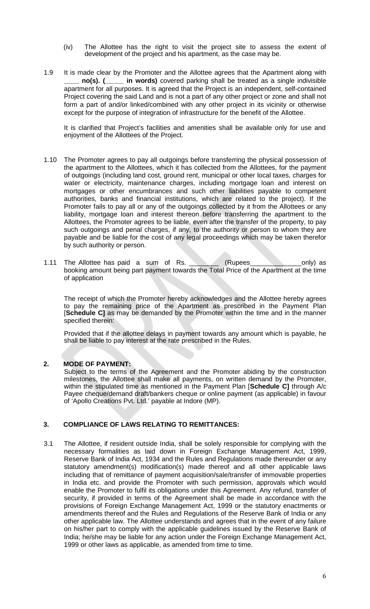- (iv) The Allottee has the right to visit the project site to assess the extent of development of the project and his apartment, as the case may be.
- 1.9 It is made clear by the Promoter and the Allottee agrees that the Apartment along with **\_\_\_\_ no(s). (\_\_\_\_\_ in words)** covered parking shall be treated as a single indivisible apartment for all purposes. It is agreed that the Project is an independent, self-contained Project covering the said Land and is not a part of any other project or zone and shall not form a part of and/or linked/combined with any other project in its vicinity or otherwise except for the purpose of integration of infrastructure for the benefit of the Allottee.

It is clarified that Project's facilities and amenities shall be available only for use and enjoyment of the Allottees of the Project.

- 1.10 The Promoter agrees to pay all outgoings before transferring the physical possession of the apartment to the Allottees, which it has collected from the Allottees, for the payment of outgoings (including land cost, ground rent, municipal or other local taxes, charges for water or electricity, maintenance charges, including mortgage loan and interest on mortgages or other encumbrances and such other liabilities payable to competent authorities, banks and financial institutions, which are related to the project). If the Promoter fails to pay all or any of the outgoings collected by it from the Allottees or any liability, mortgage loan and interest thereon before transferring the apartment to the Allottees, the Promoter agrees to be liable, even after the transfer of the property, to pay such outgoings and penal charges, if any, to the authority or person to whom they are payable and be liable for the cost of any legal proceedings which may be taken therefor by such authority or person.
- 1.11 The Allottee has paid a sum of Rs. (Rupees only) as booking amount being part payment towards the Total Price of the Apartment at the time of application

The receipt of which the Promoter hereby acknowledges and the Allottee hereby agrees to pay the remaining price of the Apartment as prescribed in the Payment Plan [**Schedule C]** as may be demanded by the Promoter within the time and in the manner specified therein:

Provided that if the allottee delays in payment towards any amount which is payable, he shall be liable to pay interest at the rate prescribed in the Rules.

## **2. MODE OF PAYMENT:**

Subject to the terms of the Agreement and the Promoter abiding by the construction milestones, the Allottee shall make all payments, on written demand by the Promoter, within the stipulated time as mentioned in the Payment Plan [**Schedule C]** through A/c Payee cheque/demand draft/bankers cheque or online payment (as applicable) in favour of 'Apollo Creations Pvt. Ltd.' payable at Indore (MP).

### **3. COMPLIANCE OF LAWS RELATING TO REMITTANCES:**

3.1 The Allottee, if resident outside India, shall be solely responsible for complying with the necessary formalities as laid down in Foreign Exchange Management Act, 1999, Reserve Bank of India Act, 1934 and the Rules and Regulations made thereunder or any statutory amendment(s) modification(s) made thereof and all other applicable laws including that of remittance of payment acquisition/sale/transfer of immovable properties in India etc. and provide the Promoter with such permission, approvals which would enable the Promoter to fulfil its obligations under this Agreement. Any refund, transfer of security, if provided in terms of the Agreement shall be made in accordance with the provisions of Foreign Exchange Management Act, 1999 or the statutory enactments or amendments thereof and the Rules and Regulations of the Reserve Bank of India or any other applicable law. The Allottee understands and agrees that in the event of any failure on his/her part to comply with the applicable guidelines issued by the Reserve Bank of India; he/she may be liable for any action under the Foreign Exchange Management Act, 1999 or other laws as applicable, as amended from time to time.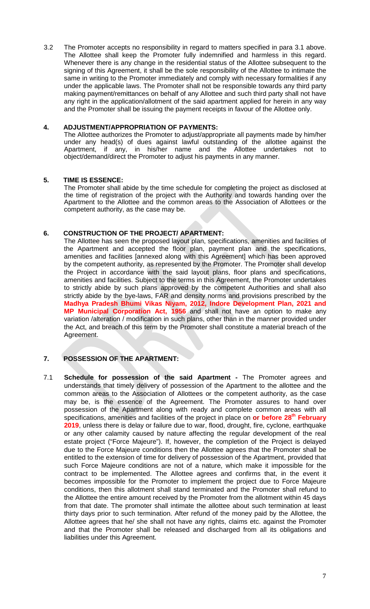3.2 The Promoter accepts no responsibility in regard to matters specified in para 3.1 above. The Allottee shall keep the Promoter fully indemnified and harmless in this regard. Whenever there is any change in the residential status of the Allottee subsequent to the signing of this Agreement, it shall be the sole responsibility of the Allottee to intimate the same in writing to the Promoter immediately and comply with necessary formalities if any under the applicable laws. The Promoter shall not be responsible towards any third party making payment/remittances on behalf of any Allottee and such third party shall not have any right in the application/allotment of the said apartment applied for herein in any way and the Promoter shall be issuing the payment receipts in favour of the Allottee only.

## **4. ADJUSTMENT/APPROPRIATION OF PAYMENTS:**

The Allottee authorizes the Promoter to adjust/appropriate all payments made by him/her under any head(s) of dues against lawful outstanding of the allottee against the Apartment, if any, in his/her name and the Allottee undertakes not to object/demand/direct the Promoter to adjust his payments in any manner.

### **5. TIME IS ESSENCE:**

The Promoter shall abide by the time schedule for completing the project as disclosed at the time of registration of the project with the Authority and towards handing over the Apartment to the Allottee and the common areas to the Association of Allottees or the competent authority, as the case may be.

### **6. CONSTRUCTION OF THE PROJECT/ APARTMENT:**

The Allottee has seen the proposed layout plan, specifications, amenities and facilities of the Apartment and accepted the floor plan, payment plan and the specifications, amenities and facilities [annexed along with this Agreement] which has been approved by the competent authority, as represented by the Promoter. The Promoter shall develop the Project in accordance with the said layout plans, floor plans and specifications, amenities and facilities. Subject to the terms in this Agreement, the Promoter undertakes to strictly abide by such plans approved by the competent Authorities and shall also strictly abide by the bye-laws, FAR and density norms and provisions prescribed by the **Madhya Pradesh Bhumi Vikas Niyam, 2012, Indore Development Plan, 2021 and MP Municipal Corporation Act, 1956** and shall not have an option to make any variation /alteration / modification in such plans, other than in the manner provided under the Act, and breach of this term by the Promoter shall constitute a material breach of the Agreement.

# **7. POSSESSION OF THE APARTMENT:**

7.1 **Schedule for possession of the said Apartment -** The Promoter agrees and understands that timely delivery of possession of the Apartment to the allottee and the common areas to the Association of Allottees or the competent authority, as the case may be, is the essence of the Agreement. The Promoter assures to hand over possession of the Apartment along with ready and complete common areas with all specifications, amenities and facilities of the project in place on **or before 28th February 2019**, unless there is delay or failure due to war, flood, drought, fire, cyclone, earthquake or any other calamity caused by nature affecting the regular development of the real estate project ("Force Majeure"). If, however, the completion of the Project is delayed due to the Force Majeure conditions then the Allottee agrees that the Promoter shall be entitled to the extension of time for delivery of possession of the Apartment, provided that such Force Majeure conditions are not of a nature, which make it impossible for the contract to be implemented. The Allottee agrees and confirms that, in the event it becomes impossible for the Promoter to implement the project due to Force Majeure conditions, then this allotment shall stand terminated and the Promoter shall refund to the Allottee the entire amount received by the Promoter from the allotment within 45 days from that date. The promoter shall intimate the allottee about such termination at least thirty days prior to such termination. After refund of the money paid by the Allottee, the Allottee agrees that he/ she shall not have any rights, claims etc. against the Promoter and that the Promoter shall be released and discharged from all its obligations and liabilities under this Agreement.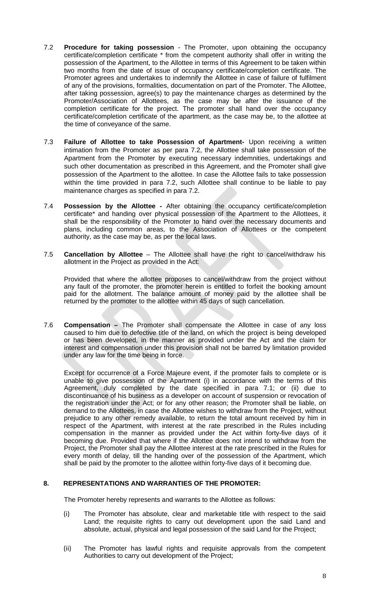- 7.2 **Procedure for taking possession** The Promoter, upon obtaining the occupancy certificate/completion certificate \* from the competent authority shall offer in writing the possession of the Apartment, to the Allottee in terms of this Agreement to be taken within two months from the date of issue of occupancy certificate/completion certificate. The Promoter agrees and undertakes to indemnify the Allottee in case of failure of fulfilment of any of the provisions, formalities, documentation on part of the Promoter. The Allottee, after taking possession, agree(s) to pay the maintenance charges as determined by the Promoter/Association of Allottees, as the case may be after the issuance of the completion certificate for the project. The promoter shall hand over the occupancy certificate/completion certificate of the apartment, as the case may be, to the allottee at the time of conveyance of the same.
- 7.3 **Failure of Allottee to take Possession of Apartment-** Upon receiving a written intimation from the Promoter as per para 7.2, the Allottee shall take possession of the Apartment from the Promoter by executing necessary indemnities, undertakings and such other documentation as prescribed in this Agreement, and the Promoter shall give possession of the Apartment to the allottee. In case the Allottee fails to take possession within the time provided in para 7.2, such Allottee shall continue to be liable to pay maintenance charges as specified in para 7.2.
- 7.4 **Possession by the Allottee -** After obtaining the occupancy certificate/completion certificate\* and handing over physical possession of the Apartment to the Allottees, it shall be the responsibility of the Promoter to hand over the necessary documents and plans, including common areas, to the Association of Allottees or the competent authority, as the case may be, as per the local laws.
- 7.5 **Cancellation by Allottee** The Allottee shall have the right to cancel/withdraw his allotment in the Project as provided in the Act:

Provided that where the allottee proposes to cancel/withdraw from the project without any fault of the promoter, the promoter herein is entitled to forfeit the booking amount paid for the allotment. The balance amount of money paid by the allottee shall be returned by the promoter to the allottee within 45 days of such cancellation.

7.6 **Compensation –** The Promoter shall compensate the Allottee in case of any loss caused to him due to defective title of the land, on which the project is being developed or has been developed, in the manner as provided under the Act and the claim for interest and compensation under this provision shall not be barred by limitation provided under any law for the time being in force.

Except for occurrence of a Force Majeure event, if the promoter fails to complete or is unable to give possession of the Apartment (i) in accordance with the terms of this Agreement, duly completed by the date specified in para 7.1; or (ii) due to discontinuance of his business as a developer on account of suspension or revocation of the registration under the Act; or for any other reason; the Promoter shall be liable, on demand to the Allottees, in case the Allottee wishes to withdraw from the Project, without prejudice to any other remedy available, to return the total amount received by him in respect of the Apartment, with interest at the rate prescribed in the Rules including compensation in the manner as provided under the Act within forty-five days of it becoming due. Provided that where if the Allottee does not intend to withdraw from the Project, the Promoter shall pay the Allottee interest at the rate prescribed in the Rules for every month of delay, till the handing over of the possession of the Apartment, which shall be paid by the promoter to the allottee within forty-five days of it becoming due.

## **8. REPRESENTATIONS AND WARRANTIES OF THE PROMOTER:**

The Promoter hereby represents and warrants to the Allottee as follows:

- (i) The Promoter has absolute, clear and marketable title with respect to the said Land; the requisite rights to carry out development upon the said Land and absolute, actual, physical and legal possession of the said Land for the Project;
- (ii) The Promoter has lawful rights and requisite approvals from the competent Authorities to carry out development of the Project;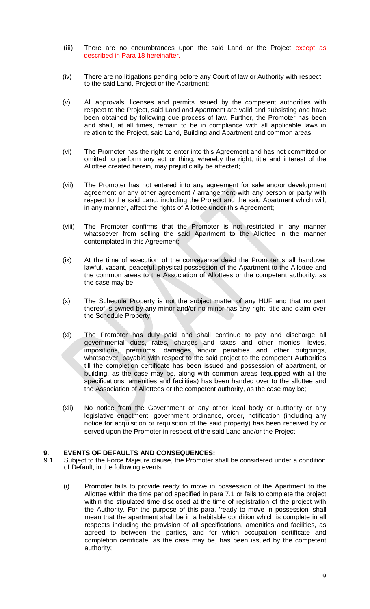- (iii) There are no encumbrances upon the said Land or the Project except as described in Para 18 hereinafter.
- (iv) There are no litigations pending before any Court of law or Authority with respect to the said Land, Project or the Apartment;
- (v) All approvals, licenses and permits issued by the competent authorities with respect to the Project, said Land and Apartment are valid and subsisting and have been obtained by following due process of law. Further, the Promoter has been and shall, at all times, remain to be in compliance with all applicable laws in relation to the Project, said Land, Building and Apartment and common areas;
- (vi) The Promoter has the right to enter into this Agreement and has not committed or omitted to perform any act or thing, whereby the right, title and interest of the Allottee created herein, may prejudicially be affected;
- (vii) The Promoter has not entered into any agreement for sale and/or development agreement or any other agreement / arrangement with any person or party with respect to the said Land, including the Project and the said Apartment which will, in any manner, affect the rights of Allottee under this Agreement;
- (viii) The Promoter confirms that the Promoter is not restricted in any manner whatsoever from selling the said Apartment to the Allottee in the manner contemplated in this Agreement;
- (ix) At the time of execution of the conveyance deed the Promoter shall handover lawful, vacant, peaceful, physical possession of the Apartment to the Allottee and the common areas to the Association of Allottees or the competent authority, as the case may be;
- (x) The Schedule Property is not the subject matter of any HUF and that no part thereof is owned by any minor and/or no minor has any right, title and claim over the Schedule Property;
- (xi) The Promoter has duly paid and shall continue to pay and discharge all governmental dues, rates, charges and taxes and other monies, levies, impositions, premiums, damages and/or penalties and other outgoings, whatsoever, payable with respect to the said project to the competent Authorities till the completion certificate has been issued and possession of apartment, or building, as the case may be, along with common areas (equipped with all the specifications, amenities and facilities) has been handed over to the allottee and the Association of Allottees or the competent authority, as the case may be;
- (xii) No notice from the Government or any other local body or authority or any legislative enactment, government ordinance, order, notification (including any notice for acquisition or requisition of the said property) has been received by or served upon the Promoter in respect of the said Land and/or the Project.

## **9. EVENTS OF DEFAULTS AND CONSEQUENCES:**

- 9.1 Subject to the Force Majeure clause, the Promoter shall be considered under a condition of Default, in the following events:
	- (i) Promoter fails to provide ready to move in possession of the Apartment to the Allottee within the time period specified in para 7.1 or fails to complete the project within the stipulated time disclosed at the time of registration of the project with the Authority. For the purpose of this para, 'ready to move in possession' shall mean that the apartment shall be in a habitable condition which is complete in all respects including the provision of all specifications, amenities and facilities, as agreed to between the parties, and for which occupation certificate and completion certificate, as the case may be, has been issued by the competent authority;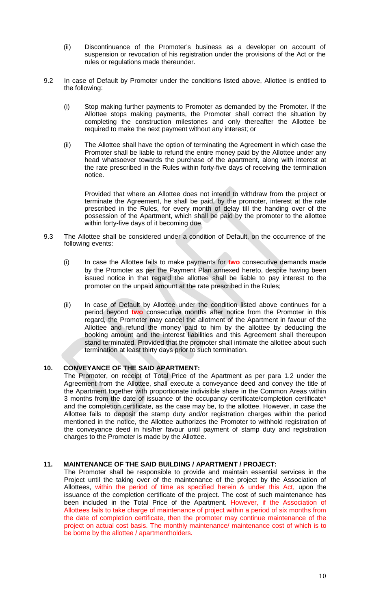- (ii) Discontinuance of the Promoter's business as a developer on account of suspension or revocation of his registration under the provisions of the Act or the rules or regulations made thereunder.
- 9.2 In case of Default by Promoter under the conditions listed above, Allottee is entitled to the following:
	- (i) Stop making further payments to Promoter as demanded by the Promoter. If the Allottee stops making payments, the Promoter shall correct the situation by completing the construction milestones and only thereafter the Allottee be required to make the next payment without any interest; or
	- (ii) The Allottee shall have the option of terminating the Agreement in which case the Promoter shall be liable to refund the entire money paid by the Allottee under any head whatsoever towards the purchase of the apartment, along with interest at the rate prescribed in the Rules within forty-five days of receiving the termination notice.

Provided that where an Allottee does not intend to withdraw from the project or terminate the Agreement, he shall be paid, by the promoter, interest at the rate prescribed in the Rules, for every month of delay till the handing over of the possession of the Apartment, which shall be paid by the promoter to the allottee within forty-five days of it becoming due.

- 9.3 The Allottee shall be considered under a condition of Default, on the occurrence of the following events:
	- (i) In case the Allottee fails to make payments for **two** consecutive demands made by the Promoter as per the Payment Plan annexed hereto, despite having been issued notice in that regard the allottee shall be liable to pay interest to the promoter on the unpaid amount at the rate prescribed in the Rules;
	- (ii) In case of Default by Allottee under the condition listed above continues for a period beyond **two** consecutive months after notice from the Promoter in this regard, the Promoter may cancel the allotment of the Apartment in favour of the Allottee and refund the money paid to him by the allottee by deducting the booking amount and the interest liabilities and this Agreement shall thereupon stand terminated. Provided that the promoter shall intimate the allottee about such termination at least thirty days prior to such termination.

## **10. CONVEYANCE OF THE SAID APARTMENT:**

The Promoter, on receipt of Total Price of the Apartment as per para 1.2 under the Agreement from the Allottee, shall execute a conveyance deed and convey the title of the Apartment together with proportionate indivisible share in the Common Areas within 3 months from the date of issuance of the occupancy certificate/completion certificate\* and the completion certificate, as the case may be, to the allottee. However, in case the Allottee fails to deposit the stamp duty and/or registration charges within the period mentioned in the notice, the Allottee authorizes the Promoter to withhold registration of the conveyance deed in his/her favour until payment of stamp duty and registration charges to the Promoter is made by the Allottee.

# **11. MAINTENANCE OF THE SAID BUILDING / APARTMENT / PROJECT:**

The Promoter shall be responsible to provide and maintain essential services in the Project until the taking over of the maintenance of the project by the Association of Allottees, within the period of time as specified herein & under this Act, upon the issuance of the completion certificate of the project. The cost of such maintenance has been included in the Total Price of the Apartment. However, if the Association of Allottees fails to take charge of maintenance of project within a period of six months from the date of completion certificate, then the promoter may continue maintenance of the project on actual cost basis. The monthly maintenance/ maintenance cost of which is to be borne by the allottee / apartmentholders.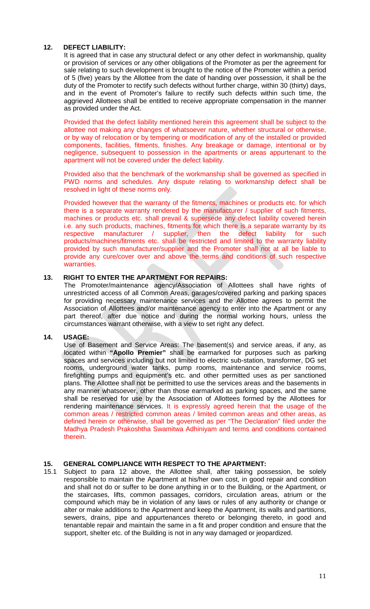### **12. DEFECT LIABILITY:**

It is agreed that in case any structural defect or any other defect in workmanship, quality or provision of services or any other obligations of the Promoter as per the agreement for sale relating to such development is brought to the notice of the Promoter within a period of 5 (five) years by the Allottee from the date of handing over possession, it shall be the duty of the Promoter to rectify such defects without further charge, within 30 (thirty) days, and in the event of Promoter's failure to rectify such defects within such time, the aggrieved Allottees shall be entitled to receive appropriate compensation in the manner as provided under the Act.

Provided that the defect liability mentioned herein this agreement shall be subject to the allottee not making any changes of whatsoever nature, whether structural or otherwise, or by way of relocation or by tempering or modification of any of the installed or provided components, facilities, fitments, finishes. Any breakage or damage, intentional or by negligence, subsequent to possession in the apartments or areas appurtenant to the apartment will not be covered under the defect liability.

Provided also that the benchmark of the workmanship shall be governed as specified in PWD norms and schedules. Any dispute relating to workmanship defect shall be resolved in light of these norms only.

Provided however that the warranty of the fitments, machines or products etc. for which there is a separate warranty rendered by the manufacturer / supplier of such fitments, machines or products etc. shall prevail & supersede any defect liability covered herein i.e. any such products, machines, fitments for which there is a separate warranty by its respective manufacturer / supplier, then the defect liability for such products/machines/fitments etc. shall be restricted and limited to the warranty liability provided by such manufacturer/supplier and the Promoter shall not at all be liable to provide any cure/cover over and above the terms and conditions of such respective warranties.

# **13. RIGHT TO ENTER THE APARTMENT FOR REPAIRS:**

The Promoter/maintenance agency/Association of Allottees shall have rights of unrestricted access of all Common Areas, garages/covered parking and parking spaces for providing necessary maintenance services and the Allottee agrees to permit the Association of Allottees and/or maintenance agency to enter into the Apartment or any part thereof, after due notice and during the normal working hours, unless the circumstances warrant otherwise, with a view to set right any defect.

#### **14. USAGE:**

Use of Basement and Service Areas: The basement(s) and service areas, if any, as located within **"Apollo Premier"** shall be earmarked for purposes such as parking spaces and services including but not limited to electric sub-station, transformer, DG set rooms, underground water tanks, pump rooms, maintenance and service rooms, firefighting pumps and equipment's etc. and other permitted uses as per sanctioned plans. The Allottee shall not be permitted to use the services areas and the basements in any manner whatsoever, other than those earmarked as parking spaces, and the same shall be reserved for use by the Association of Allottees formed by the Allottees for rendering maintenance services. It is expressly agreed herein that the usage of the common areas / restricted common areas / limited common areas and other areas, as defined herein or otherwise, shall be governed as per "The Declaration" filed under the Madhya Pradesh Prakoshtha Swamitwa Adhiniyam and terms and conditions contained therein.

### **15. GENERAL COMPLIANCE WITH RESPECT TO THE APARTMENT:**

15.1 Subject to para 12 above, the Allottee shall, after taking possession, be solely responsible to maintain the Apartment at his/her own cost, in good repair and condition and shall not do or suffer to be done anything in or to the Building, or the Apartment, or the staircases, lifts, common passages, corridors, circulation areas, atrium or the compound which may be in violation of any laws or rules of any authority or change or alter or make additions to the Apartment and keep the Apartment, its walls and partitions, sewers, drains, pipe and appurtenances thereto or belonging thereto, in good and tenantable repair and maintain the same in a fit and proper condition and ensure that the support, shelter etc. of the Building is not in any way damaged or jeopardized.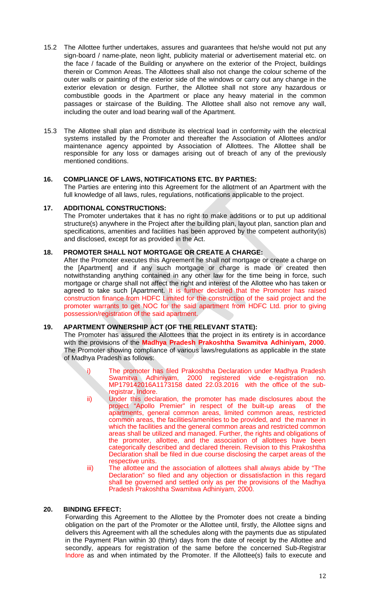- 15.2 The Allottee further undertakes, assures and guarantees that he/she would not put any sign-board / name-plate, neon light, publicity material or advertisement material etc. on the face / facade of the Building or anywhere on the exterior of the Project, buildings therein or Common Areas. The Allottees shall also not change the colour scheme of the outer walls or painting of the exterior side of the windows or carry out any change in the exterior elevation or design. Further, the Allottee shall not store any hazardous or combustible goods in the Apartment or place any heavy material in the common passages or staircase of the Building. The Allottee shall also not remove any wall, including the outer and load bearing wall of the Apartment.
- 15.3 The Allottee shall plan and distribute its electrical load in conformity with the electrical systems installed by the Promoter and thereafter the Association of Allottees and/or maintenance agency appointed by Association of Allottees. The Allottee shall be responsible for any loss or damages arising out of breach of any of the previously mentioned conditions.

### **16. COMPLIANCE OF LAWS, NOTIFICATIONS ETC. BY PARTIES:**

The Parties are entering into this Agreement for the allotment of an Apartment with the full knowledge of all laws, rules, regulations, notifications applicable to the project.

### **17. ADDITIONAL CONSTRUCTIONS:**

The Promoter undertakes that it has no right to make additions or to put up additional structure(s) anywhere in the Project after the building plan, layout plan, sanction plan and specifications, amenities and facilities has been approved by the competent authority(is) and disclosed, except for as provided in the Act.

### **18. PROMOTER SHALL NOT MORTGAGE OR CREATE A CHARGE:**

After the Promoter executes this Agreement he shall not mortgage or create a charge on the [Apartment] and if any such mortgage or charge is made or created then notwithstanding anything contained in any other law for the time being in force, such mortgage or charge shall not affect the right and interest of the Allottee who has taken or agreed to take such [Apartment. It is further declared that the Promoter has raised construction finance from HDFC Limited for the construction of the said project and the promoter warrants to get NOC for the said apartment from HDFC Ltd. prior to giving possession/registration of the said apartment.

## **19. APARTMENT OWNERSHIP ACT (OF THE RELEVANT STATE):**

The Promoter has assured the Allottees that the project in its entirety is in accordance with the provisions of the **Madhya Pradesh Prakoshtha Swamitva Adhiniyam, 2000**. The Promoter showing compliance of various laws/regulations as applicable in the state of Madhya Pradesh as follows:

- The promoter has filed Prakoshtha Declaration under Madhya Pradesh Swamitva Adhiniyam, 2000 registered vide e-registration no. MP179142016A1173158 dated 22.03.2016 with the office of the subregistrar, Indore.
- ii) Under this declaration, the promoter has made disclosures about the project "Apollo Premier" in respect of the built-up areas of the apartments, general common areas, limited common areas, restricted common areas, the facilities/amenities to be provided, and the manner in which the facilities and the general common areas and restricted common areas shall be utilized and managed. Further, the rights and obligations of the promoter, allottee, and the association of allottees have been categorically described and declared therein. Revision to this Prakoshtha Declaration shall be filed in due course disclosing the carpet areas of the respective units.
- iii) The allottee and the association of allottees shall always abide by "The Declaration" so filed and any objection or dissatisfaction in this regard shall be governed and settled only as per the provisions of the Madhya Pradesh Prakoshtha Swamitwa Adhiniyam, 2000.

## **20. BINDING EFFECT:**

Forwarding this Agreement to the Allottee by the Promoter does not create a binding obligation on the part of the Promoter or the Allottee until, firstly, the Allottee signs and delivers this Agreement with all the schedules along with the payments due as stipulated in the Payment Plan within 30 (thirty) days from the date of receipt by the Allottee and secondly, appears for registration of the same before the concerned Sub-Registrar Indore as and when intimated by the Promoter. If the Allottee(s) fails to execute and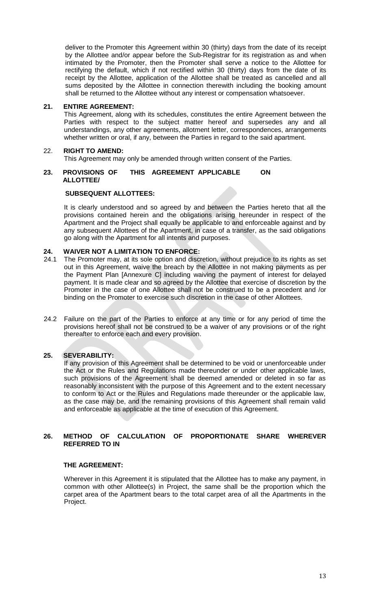deliver to the Promoter this Agreement within 30 (thirty) days from the date of its receipt by the Allottee and/or appear before the Sub-Registrar for its registration as and when intimated by the Promoter, then the Promoter shall serve a notice to the Allottee for rectifying the default, which if not rectified within 30 (thirty) days from the date of its receipt by the Allottee, application of the Allottee shall be treated as cancelled and all sums deposited by the Allottee in connection therewith including the booking amount shall be returned to the Allottee without any interest or compensation whatsoever.

### **21. ENTIRE AGREEMENT:**

This Agreement, along with its schedules, constitutes the entire Agreement between the Parties with respect to the subject matter hereof and supersedes any and all understandings, any other agreements, allotment letter, correspondences, arrangements whether written or oral, if any, between the Parties in regard to the said apartment.

### 22. **RIGHT TO AMEND:**

This Agreement may only be amended through written consent of the Parties.

#### **23. PROVISIONS OF THIS AGREEMENT APPLICABLE ON ALLOTTEE/**

### **SUBSEQUENT ALLOTTEES:**

It is clearly understood and so agreed by and between the Parties hereto that all the provisions contained herein and the obligations arising hereunder in respect of the Apartment and the Project shall equally be applicable to and enforceable against and by any subsequent Allottees of the Apartment, in case of a transfer, as the said obligations go along with the Apartment for all intents and purposes.

# **24. WAIVER NOT A LIMITATION TO ENFORCE:**<br>24.1 The Promoter may, at its sole option and discri

- The Promoter may, at its sole option and discretion, without prejudice to its rights as set out in this Agreement, waive the breach by the Allottee in not making payments as per the Payment Plan [Annexure C] including waiving the payment of interest for delayed payment. It is made clear and so agreed by the Allottee that exercise of discretion by the Promoter in the case of one Allottee shall not be construed to be a precedent and /or binding on the Promoter to exercise such discretion in the case of other Allottees.
- 24.2 Failure on the part of the Parties to enforce at any time or for any period of time the provisions hereof shall not be construed to be a waiver of any provisions or of the right thereafter to enforce each and every provision.

## **25. SEVERABILITY:**

If any provision of this Agreement shall be determined to be void or unenforceable under the Act or the Rules and Regulations made thereunder or under other applicable laws, such provisions of the Agreement shall be deemed amended or deleted in so far as reasonably inconsistent with the purpose of this Agreement and to the extent necessary to conform to Act or the Rules and Regulations made thereunder or the applicable law, as the case may be, and the remaining provisions of this Agreement shall remain valid and enforceable as applicable at the time of execution of this Agreement.

### **26. METHOD OF CALCULATION OF PROPORTIONATE SHARE WHEREVER REFERRED TO IN**

#### **THE AGREEMENT:**

Wherever in this Agreement it is stipulated that the Allottee has to make any payment, in common with other Allottee(s) in Project, the same shall be the proportion which the carpet area of the Apartment bears to the total carpet area of all the Apartments in the Project.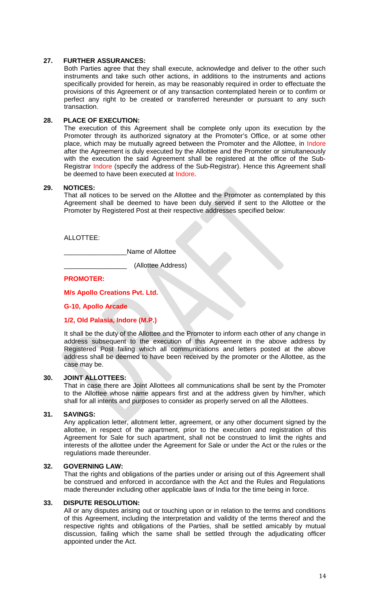### **27. FURTHER ASSURANCES:**

Both Parties agree that they shall execute, acknowledge and deliver to the other such instruments and take such other actions, in additions to the instruments and actions specifically provided for herein, as may be reasonably required in order to effectuate the provisions of this Agreement or of any transaction contemplated herein or to confirm or perfect any right to be created or transferred hereunder or pursuant to any such transaction.

#### **28. PLACE OF EXECUTION:**

The execution of this Agreement shall be complete only upon its execution by the Promoter through its authorized signatory at the Promoter's Office, or at some other place, which may be mutually agreed between the Promoter and the Allottee, in Indore after the Agreement is duly executed by the Allottee and the Promoter or simultaneously with the execution the said Agreement shall be registered at the office of the Sub-Registrar Indore (specify the address of the Sub-Registrar). Hence this Agreement shall be deemed to have been executed at Indore.

#### **29. NOTICES:**

That all notices to be served on the Allottee and the Promoter as contemplated by this Agreement shall be deemed to have been duly served if sent to the Allottee or the Promoter by Registered Post at their respective addresses specified below:

### ALLOTTEE:

Name of Allottee

\_\_\_\_\_\_\_\_\_\_\_\_\_\_\_\_\_ (Allottee Address)

**PROMOTER:**

# **M/s Apollo Creations Pvt. Ltd.**

**G-10, Apollo Arcade**

## **1/2, Old Palasia, Indore (M.P.)**

It shall be the duty of the Allottee and the Promoter to inform each other of any change in address subsequent to the execution of this Agreement in the above address by Registered Post failing which all communications and letters posted at the above address shall be deemed to have been received by the promoter or the Allottee, as the case may be.

#### **30. JOINT ALLOTTEES:**

That in case there are Joint Allottees all communications shall be sent by the Promoter to the Allottee whose name appears first and at the address given by him/her, which shall for all intents and purposes to consider as properly served on all the Allottees.

#### **31. SAVINGS:**

Any application letter, allotment letter, agreement, or any other document signed by the allottee, in respect of the apartment, prior to the execution and registration of this Agreement for Sale for such apartment, shall not be construed to limit the rights and interests of the allottee under the Agreement for Sale or under the Act or the rules or the regulations made thereunder.

#### **32. GOVERNING LAW:**

That the rights and obligations of the parties under or arising out of this Agreement shall be construed and enforced in accordance with the Act and the Rules and Regulations made thereunder including other applicable laws of India for the time being in force.

#### **33. DISPUTE RESOLUTION:**

All or any disputes arising out or touching upon or in relation to the terms and conditions of this Agreement, including the interpretation and validity of the terms thereof and the respective rights and obligations of the Parties, shall be settled amicably by mutual discussion, failing which the same shall be settled through the adjudicating officer appointed under the Act.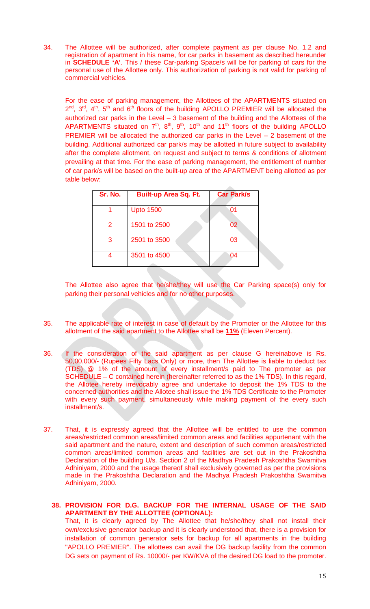34. The Allottee will be authorized, after complete payment as per clause No. 1.2 and registration of apartment in his name, for car parks in basement as described hereunder in **SCHEDULE 'A'**. This / these Car-parking Space/s will be for parking of cars for the personal use of the Allottee only. This authorization of parking is not valid for parking of commercial vehicles.

For the ease of parking management, the Allottees of the APARTMENTS situated on  $2^{nd}$ ,  $3^{rd}$ ,  $4^{th}$ ,  $5^{th}$  and  $6^{th}$  floors of the building APOLLO PREMIER will be allocated the authorized car parks in the Level – 3 basement of the building and the Allottees of the APARTMENTS situated on  $7<sup>th</sup>$ ,  $8<sup>th</sup>$ ,  $9<sup>th</sup>$ ,  $10<sup>th</sup>$  and  $11<sup>th</sup>$  floors of the building APOLLO PREMIER will be allocated the authorized car parks in the Level – 2 basement of the building. Additional authorized car park/s may be allotted in future subject to availability after the complete allotment, on request and subject to terms & conditions of allotment prevailing at that time. For the ease of parking management, the entitlement of number of car park/s will be based on the built-up area of the APARTMENT being allotted as per table below:

| Sr. No. | <b>Built-up Area Sq. Ft.</b> | <b>Car Park/s</b> |
|---------|------------------------------|-------------------|
|         | <b>Upto 1500</b>             | 01                |
| 2       | 1501 to 2500                 | 02                |
| 3       | 2501 to 3500                 | 03                |
|         | 3501 to 4500                 | 04                |

The Allottee also agree that he/she/they will use the Car Parking space(s) only for parking their personal vehicles and for no other purposes.

- 35. The applicable rate of interest in case of default by the Promoter or the Allottee for this allotment of the said apartment to the Allottee shall be **11%** (Eleven Percent).
- 36. If the consideration of the said apartment as per clause G hereinabove is Rs. 50,00,000/- (Rupees Fifty Lacs Only) or more, then The Allottee is liable to deduct tax (TDS) @ 1% of the amount of every installment/s paid to The promoter as per SCHEDULE – C contained herein (hereinafter referred to as the 1% TDS). In this regard, the Allotee hereby irrevocably agree and undertake to deposit the 1% TDS to the concerned authorities and the Allotee shall issue the 1% TDS Certificate to the Promoter with every such payment, simultaneously while making payment of the every such installment/s.
- 37. That, it is expressly agreed that the Allottee will be entitled to use the common areas/restricted common areas/limited common areas and facilities appurtenant with the said apartment and the nature, extent and description of such common areas/restricted common areas/limited common areas and facilities are set out in the Prakoshtha Declaration of the building U/s. Section 2 of the Madhya Pradesh Prakoshtha Swamitva Adhiniyam, 2000 and the usage thereof shall exclusively governed as per the provisions made in the Prakoshtha Declaration and the Madhya Pradesh Prakoshtha Swamitva Adhiniyam, 2000.

### **38. PROVISION FOR D.G. BACKUP FOR THE INTERNAL USAGE OF THE SAID APARTMENT BY THE ALLOTTEE (OPTIONAL):**

That, it is clearly agreed by The Allottee that he/she/they shall not install their own/exclusive generator backup and it is clearly understood that, there is a provision for installation of common generator sets for backup for all apartments in the building "APOLLO PREMIER". The allottees can avail the DG backup facility from the common DG sets on payment of Rs. 10000/- per KW/KVA of the desired DG load to the promoter.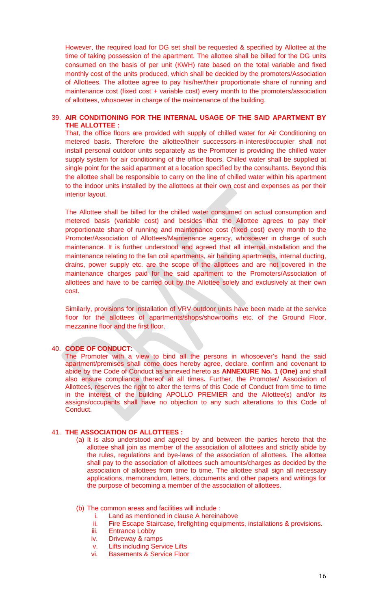However, the required load for DG set shall be requested & specified by Allottee at the time of taking possession of the apartment. The allottee shall be billed for the DG units consumed on the basis of per unit (KWH) rate based on the total variable and fixed monthly cost of the units produced, which shall be decided by the promoters/Association of Allottees. The allottee agree to pay his/her/their proportionate share of running and maintenance cost (fixed cost + variable cost) every month to the promoters/association of allottees, whosoever in charge of the maintenance of the building.

### 39. **AIR CONDITIONING FOR THE INTERNAL USAGE OF THE SAID APARTMENT BY THE ALLOTTEE :**

That, the office floors are provided with supply of chilled water for Air Conditioning on metered basis. Therefore the allottee/their successors-in-interest/occupier shall not install personal outdoor units separately as the Promoter is providing the chilled water supply system for air conditioning of the office floors. Chilled water shall be supplied at single point for the said apartment at a location specified by the consultants. Beyond this the allottee shall be responsible to carry on the line of chilled water within his apartment to the indoor units installed by the allottees at their own cost and expenses as per their interior layout.

The Allottee shall be billed for the chilled water consumed on actual consumption and metered basis (variable cost) and besides that the Allottee agrees to pay their proportionate share of running and maintenance cost (fixed cost) every month to the Promoter/Association of Allottees/Maintenance agency, whosoever in charge of such maintenance. It is further understood and agreed that all internal installation and the maintenance relating to the fan coil apartments, air handing apartments, internal ducting, drains, power supply etc. are the scope of the allottees and are not covered in the maintenance charges paid for the said apartment to the Promoters/Association of allottees and have to be carried out by the Allottee solely and exclusively at their own cost.

Similarly, provisions for installation of VRV outdoor units have been made at the service floor for the allottees of apartments/shops/showrooms etc. of the Ground Floor, mezzanine floor and the first floor.

#### 40. **CODE OF CONDUCT**:

The Promoter with a view to bind all the persons in whosoever's hand the said apartment/premises shall come does hereby agree, declare, confirm and covenant to abide by the Code of Conduct as annexed hereto as **ANNEXURE No. 1 (One)** and shall also ensure compliance thereof at all times**.** Further, the Promoter/ Association of Allottees, reserves the right to alter the terms of this Code of Conduct from time to time in the interest of the building APOLLO PREMIER and the Allottee(s) and/or its assigns/occupants shall have no objection to any such alterations to this Code of Conduct.

### 41. **THE ASSOCIATION OF ALLOTTEES :**

- (a) It is also understood and agreed by and between the parties hereto that the allottee shall join as member of the association of allottees and strictly abide by the rules, regulations and bye-laws of the association of allottees. The allottee shall pay to the association of allottees such amounts/charges as decided by the association of allottees from time to time. The allottee shall sign all necessary applications, memorandum, letters, documents and other papers and writings for the purpose of becoming a member of the association of allottees.
- (b) The common areas and facilities will include :
	- i. Land as mentioned in clause A hereinabove
	- ii. Fire Escape Staircase, firefighting equipments, installations & provisions.
	- iii. Entrance Lobby
	- iv. Driveway & ramps
	- v. Lifts including Service Lifts
	- vi. Basements & Service Floor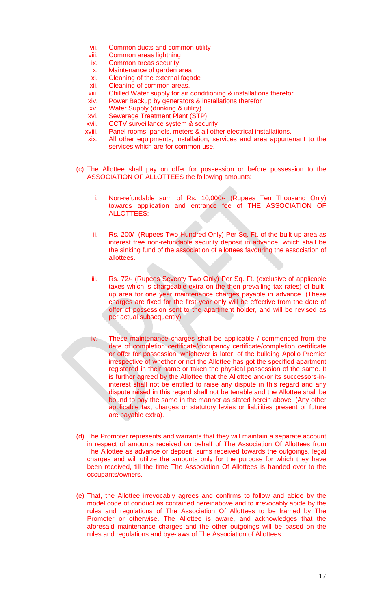- vii. Common ducts and common utility
- viii. Common areas lightning
- ix. Common areas security
- x. Maintenance of garden area
- xi. Cleaning of the external façade
- xii. Cleaning of common areas.
- xiii. Chilled Water supply for air conditioning & installations therefor
- xiv. Power Backup by generators & installations therefor
- xv. Water Supply (drinking & utility)
- xvi. Sewerage Treatment Plant (STP)
- xvii. CCTV surveillance system & security
- xviii. Panel rooms, panels, meters & all other electrical installations.
- xix. All other equipments, installation, services and area appurtenant to the services which are for common use.
- (c) The Allottee shall pay on offer for possession or before possession to the ASSOCIATION OF ALLOTTEES the following amounts:
	- i. Non-refundable sum of Rs. 10,000/- (Rupees Ten Thousand Only) towards application and entrance fee of THE ASSOCIATION OF ALLOTTEES;
	- ii. Rs. 200/- (Rupees Two Hundred Only) Per Sq. Ft. of the built-up area as interest free non-refundable security deposit in advance, which shall be the sinking fund of the association of allottees favouring the association of allottees.
	- iii. Rs. 72/- (Rupees Seventy Two Only) Per Sq. Ft. (exclusive of applicable taxes which is chargeable extra on the then prevailing tax rates) of builtup area for one year maintenance charges payable in advance. (These charges are fixed for the first year only will be effective from the date of offer of possession sent to the apartment holder, and will be revised as per actual subsequently).
	- iv. These maintenance charges shall be applicable / commenced from the date of completion certificate/occupancy certificate/completion certificate or offer for possession, whichever is later, of the building Apollo Premier irrespective of whether or not the Allottee has got the specified apartment registered in their name or taken the physical possession of the same. It is further agreed by the Allottee that the Allottee and/or its successors-ininterest shall not be entitled to raise any dispute in this regard and any dispute raised in this regard shall not be tenable and the Allottee shall be bound to pay the same in the manner as stated herein above. (Any other applicable tax, charges or statutory levies or liabilities present or future are payable extra).
- (d) The Promoter represents and warrants that they will maintain a separate account in respect of amounts received on behalf of The Association Of Allottees from The Allottee as advance or deposit, sums received towards the outgoings, legal charges and will utilize the amounts only for the purpose for which they have been received, till the time The Association Of Allottees is handed over to the occupants/owners.
- (e) That, the Allottee irrevocably agrees and confirms to follow and abide by the model code of conduct as contained hereinabove and to irrevocably abide by the rules and regulations of The Association Of Allottees to be framed by The Promoter or otherwise. The Allottee is aware, and acknowledges that the aforesaid maintenance charges and the other outgoings will be based on the rules and regulations and bye-laws of The Association of Allottees.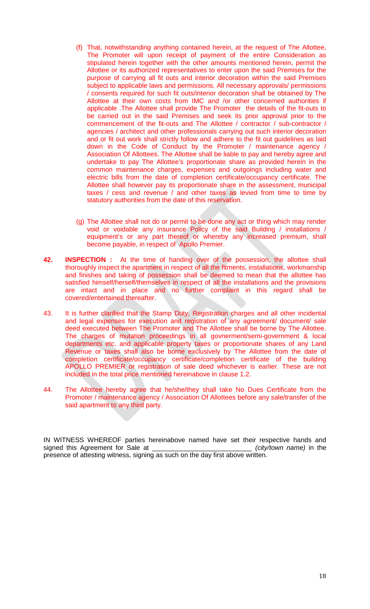- (f) That, notwithstanding anything contained herein, at the request of The Allottee, The Promoter will upon receipt of payment of the entire Consideration as stipulated herein together with the other amounts mentioned herein, permit the Allottee or its authorized representatives to enter upon the said Premises for the purpose of carrying all fit outs and interior decoration within the said Premises subject to applicable laws and permissions. All necessary approvals/ permissions / consents required for such fit outs/interior decoration shall be obtained by The Allottee at their own costs from IMC and /or other concerned authorities if applicable .The Allottee shall provide The Promoter the details of the fit-outs to be carried out in the said Premises and seek its prior approval prior to the commencement of the fit-outs and The Allottee / contractor / sub-contractor / agencies / architect and other professionals carrying out such interior decoration and or fit out work shall strictly follow and adhere to the fit out guidelines as laid down in the Code of Conduct by the Promoter / maintenance agency / Association Of Allottees. The Allottee shall be liable to pay and hereby agree and undertake to pay The Allottee's proportionate share as provided herein in the common maintenance charges, expenses and outgoings including water and electric bills from the date of completion certificate/occupancy certificate. The Allottee shall however pay its proportionate share in the assessment, municipal taxes / cess and revenue / and other taxes as levied from time to time by statutory authorities from the date of this reservation.
- (g) The Allottee shall not do or permit to be done any act or thing which may render void or voidable any insurance Policy of the said Building / installations / equipment's or any part thereof or whereby any increased premium, shall become payable, in respect of Apollo Premier.
- **42. INSPECTION :** At the time of handing over of the possession, the allottee shall thoroughly inspect the apartment in respect of all the fitments, installations, workmanship and finishes and taking of possession shall be deemed to mean that the allottee has satisfied himself/herself/themselves in respect of all the installations and the provisions are intact and in place and no further complaint in this regard shall be covered/entertained thereafter.
- 43. It is further clarified that the Stamp Duty, Registration charges and all other incidental and legal expenses for execution and registration of any agreement/ document/ sale deed executed between The Promoter and The Allottee shall be borne by The Allottee. The charges of mutation proceedings in all govnerment/semi-government & local departments etc. and applicable property taxes or proportionate shares of any Land Revenue or taxes shall also be borne exclusively by The Allottee from the date of completion certificate/occupancy certificate/completion certificate of the building APOLLO PREMIER or registration of sale deed whichever is earlier. These are not included in the total price mentioned hereinabove in clause 1.2.
- 44. The Allottee hereby agree that he/she/they shall take No Dues Certificate from the Promoter / maintenance agency / Association Of Allottees before any sale/transfer of the said apartment to any third party.

IN WITNESS WHEREOF parties hereinabove named have set their respective hands and signed this Agreement for Sale at presence of attesting witness, signing as such on the day first above written.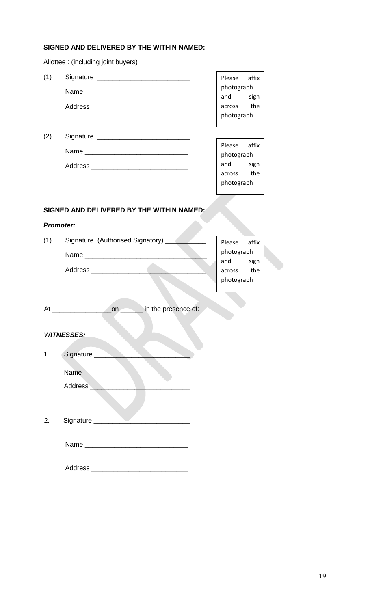# **SIGNED AND DELIVERED BY THE WITHIN NAMED:**

|                  | Allottee : (including joint buyers)                                           |                        |
|------------------|-------------------------------------------------------------------------------|------------------------|
| (1)              |                                                                               | Please affix           |
|                  | Name                                                                          | photograph<br>and sign |
|                  | Address __________________________________                                    | across the             |
|                  |                                                                               | photograph             |
|                  |                                                                               |                        |
| (2)              |                                                                               |                        |
|                  | Name                                                                          | affix<br>Please        |
|                  |                                                                               | photograph<br>and sign |
|                  |                                                                               | across the             |
|                  |                                                                               | photograph             |
|                  |                                                                               |                        |
|                  |                                                                               |                        |
|                  | SIGNED AND DELIVERED BY THE WITHIN NAMED:                                     |                        |
| <b>Promoter:</b> |                                                                               |                        |
| (1)              | Signature (Authorised Signatory) _______                                      | Please<br>affix        |
|                  |                                                                               | photograph             |
|                  |                                                                               | and sign               |
|                  |                                                                               | across the             |
|                  |                                                                               | photograph             |
|                  |                                                                               |                        |
|                  |                                                                               |                        |
|                  | on in the presence of:<br>At $\overline{\phantom{a} \phantom{a} \phantom{a}}$ |                        |
|                  |                                                                               |                        |
|                  | <b>WITNESSES:</b>                                                             |                        |
|                  |                                                                               |                        |
| 1.               | Signature                                                                     |                        |
|                  | Name ____________                                                             |                        |
|                  | Address <b>Management</b>                                                     |                        |
|                  |                                                                               |                        |
|                  |                                                                               |                        |
|                  |                                                                               |                        |
| 2.               | Signature _________                                                           |                        |
|                  |                                                                               |                        |
|                  |                                                                               |                        |
|                  |                                                                               |                        |
|                  |                                                                               |                        |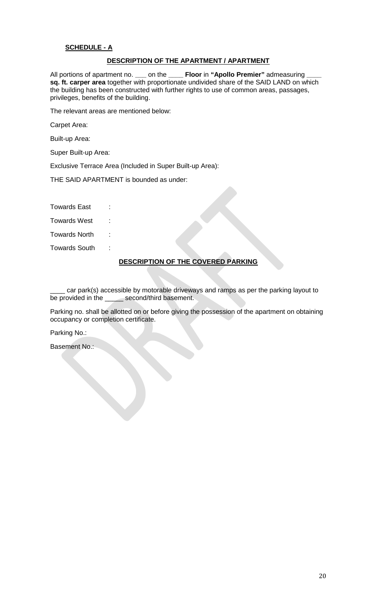# **SCHEDULE - A**

### **DESCRIPTION OF THE APARTMENT / APARTMENT**

All portions of apartment no. **\_\_\_** on the **\_\_\_\_ Floor** in **"Apollo Premier"** admeasuring **\_\_\_\_ sq. ft. carper area** together with proportionate undivided share of the SAID LAND on which the building has been constructed with further rights to use of common areas, passages, privileges, benefits of the building.

The relevant areas are mentioned below:

Carpet Area:

Built-up Area:

Super Built-up Area:

Exclusive Terrace Area (Included in Super Built-up Area):

THE SAID APARTMENT is bounded as under:

Towards East :

Towards West :

Towards North :

Towards South :

## **DESCRIPTION OF THE COVERED PARKING**

car park(s) accessible by motorable driveways and ramps as per the parking layout to be provided in the \_\_\_\_\_ second/third basement.

Parking no. shall be allotted on or before giving the possession of the apartment on obtaining occupancy or completion certificate.

Parking No.:

Basement No.: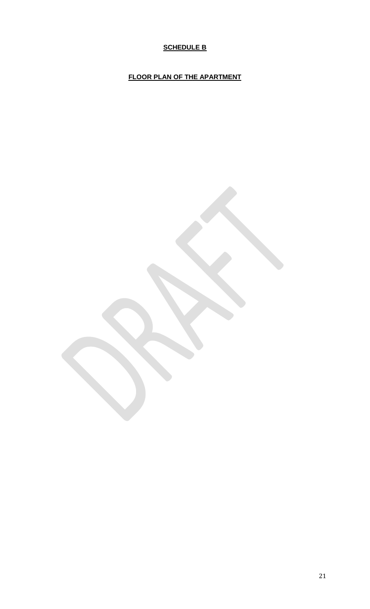# **SCHEDULE B**

**FLOOR PLAN OF THE APARTMENT**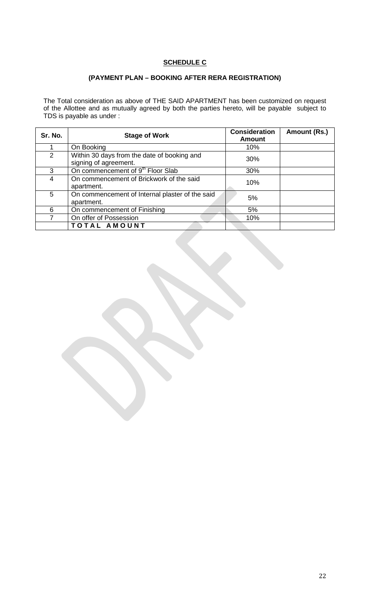# **SCHEDULE C**

# **(PAYMENT PLAN – BOOKING AFTER RERA REGISTRATION)**

The Total consideration as above of THE SAID APARTMENT has been customized on request of the Allottee and as mutually agreed by both the parties hereto, will be payable subject to TDS is payable as under :

| Sr. No. | <b>Stage of Work</b>                                                 | <b>Consideration</b><br><b>Amount</b> | Amount (Rs.) |
|---------|----------------------------------------------------------------------|---------------------------------------|--------------|
|         | On Booking                                                           | 10%                                   |              |
| 2       | Within 30 days from the date of booking and<br>signing of agreement. | 30%                                   |              |
| 3       | On commencement of 9 <sup>th</sup> Floor Slab                        | 30%                                   |              |
| 4       | On commencement of Brickwork of the said<br>apartment.               | 10%                                   |              |
| 5       | On commencement of Internal plaster of the said<br>apartment.        | 5%                                    |              |
| 6       | On commencement of Finishing                                         | 5%                                    |              |
|         | On offer of Possession                                               | 10%                                   |              |
|         | TOTAL AMOUNT                                                         |                                       |              |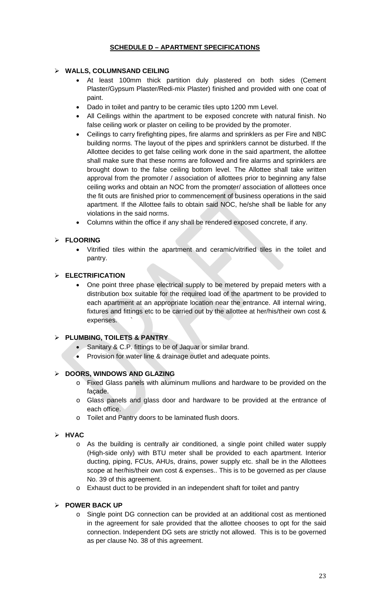# **SCHEDULE D – APARTMENT SPECIFICATIONS**

# **WALLS, COLUMNSAND CEILING**

- At least 100mm thick partition duly plastered on both sides (Cement Plaster/Gypsum Plaster/Redi-mix Plaster) finished and provided with one coat of paint.
- Dado in toilet and pantry to be ceramic tiles upto 1200 mm Level.
- All Ceilings within the apartment to be exposed concrete with natural finish. No false ceiling work or plaster on ceiling to be provided by the promoter.
- Ceilings to carry firefighting pipes, fire alarms and sprinklers as per Fire and NBC building norms. The layout of the pipes and sprinklers cannot be disturbed. If the Allottee decides to get false ceiling work done in the said apartment, the allottee shall make sure that these norms are followed and fire alarms and sprinklers are brought down to the false ceiling bottom level. The Allottee shall take written approval from the promoter / association of allottees prior to beginning any false ceiling works and obtain an NOC from the promoter/ association of allottees once the fit outs are finished prior to commencement of business operations in the said apartment. If the Allottee fails to obtain said NOC, he/she shall be liable for any violations in the said norms.
- Columns within the office if any shall be rendered exposed concrete, if any.

# **FLOORING**

 Vitrified tiles within the apartment and ceramic/vitrified tiles in the toilet and pantry.

# **ELECTRIFICATION**

 One point three phase electrical supply to be metered by prepaid meters with a distribution box suitable for the required load of the apartment to be provided to each apartment at an appropriate location near the entrance. All internal wiring, fixtures and fittings etc to be carried out by the allottee at her/his/their own cost & expenses. `

# **PLUMBING, TOILETS & PANTRY**

- Sanitary & C.P. fittings to be of Jaquar or similar brand.
- Provision for water line & drainage outlet and adequate points.

## **DOORS, WINDOWS AND GLAZING**

- o Fixed Glass panels with aluminum mullions and hardware to be provided on the façade.
- o Glass panels and glass door and hardware to be provided at the entrance of each office.
- o Toilet and Pantry doors to be laminated flush doors.

## **HVAC**

- o As the building is centrally air conditioned, a single point chilled water supply (High-side only) with BTU meter shall be provided to each apartment. Interior ducting, piping, FCUs, AHUs, drains, power supply etc. shall be in the Allottees scope at her/his/their own cost & expenses.. This is to be governed as per clause No. 39 of this agreement.
- o Exhaust duct to be provided in an independent shaft for toilet and pantry

## **POWER BACK UP**

o Single point DG connection can be provided at an additional cost as mentioned in the agreement for sale provided that the allottee chooses to opt for the said connection. Independent DG sets are strictly not allowed. This is to be governed as per clause No. 38 of this agreement.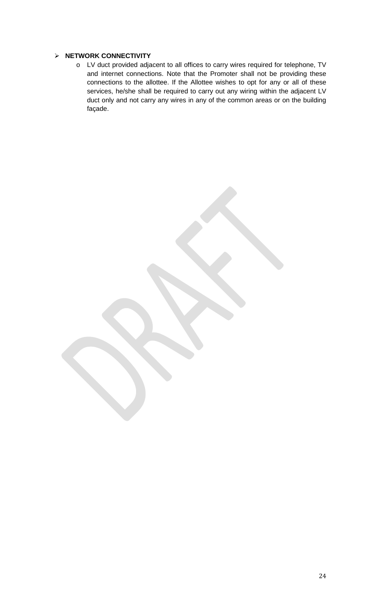# **NETWORK CONNECTIVITY**

o LV duct provided adjacent to all offices to carry wires required for telephone, TV and internet connections. Note that the Promoter shall not be providing these connections to the allottee. If the Allottee wishes to opt for any or all of these services, he/she shall be required to carry out any wiring within the adjacent LV duct only and not carry any wires in any of the common areas or on the building façade.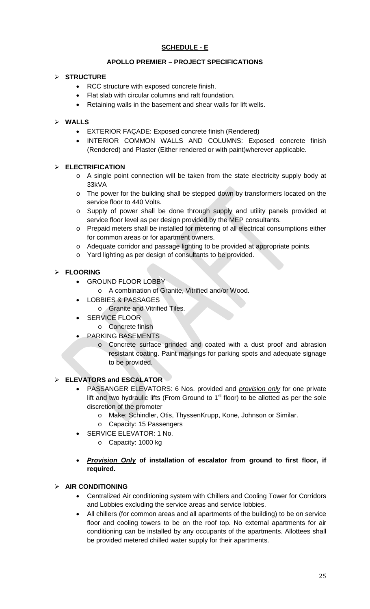# **SCHEDULE - E**

# **APOLLO PREMIER – PROJECT SPECIFICATIONS**

# **STRUCTURE**

- RCC structure with exposed concrete finish.
- Flat slab with circular columns and raft foundation.
- Retaining walls in the basement and shear walls for lift wells.

# **WALLS**

- EXTERIOR FAÇADE: Exposed concrete finish (Rendered)
- INTERIOR COMMON WALLS AND COLUMNS: Exposed concrete finish (Rendered) and Plaster (Either rendered or with paint)wherever applicable.

# **ELECTRIFICATION**

- o A single point connection will be taken from the state electricity supply body at 33kVA
- o The power for the building shall be stepped down by transformers located on the service floor to 440 Volts.
- o Supply of power shall be done through supply and utility panels provided at service floor level as per design provided by the MEP consultants.
- o Prepaid meters shall be installed for metering of all electrical consumptions either for common areas or for apartment owners.
- o Adequate corridor and passage lighting to be provided at appropriate points.
- o Yard lighting as per design of consultants to be provided.

# **FLOORING**

- GROUND FLOOR LOBBY
	- o A combination of Granite, Vitrified and/or Wood.
- LOBBIES & PASSAGES
	- o Granite and Vitrified Tiles.
- **SERVICE FLOOR** 
	- o Concrete finish
- PARKING BASEMENTS
	- Concrete surface grinded and coated with a dust proof and abrasion resistant coating. Paint markings for parking spots and adequate signage to be provided.

# **ELEVATORS and ESCALATOR**

- PASSANGER ELEVATORS: 6 Nos. provided and *provision only* for one private lift and two hydraulic lifts (From Ground to  $1<sup>st</sup>$  floor) to be allotted as per the sole discretion of the promoter
	- o Make: Schindler, Otis, ThyssenKrupp, Kone, Johnson or Similar.
	- o Capacity: 15 Passengers
- SERVICE ELEVATOR: 1 No.
	- o Capacity: 1000 kg
- *Provision Only* **of installation of escalator from ground to first floor, if required.**

## **AIR CONDITIONING**

- Centralized Air conditioning system with Chillers and Cooling Tower for Corridors and Lobbies excluding the service areas and service lobbies.
- All chillers (for common areas and all apartments of the building) to be on service floor and cooling towers to be on the roof top. No external apartments for air conditioning can be installed by any occupants of the apartments. Allottees shall be provided metered chilled water supply for their apartments.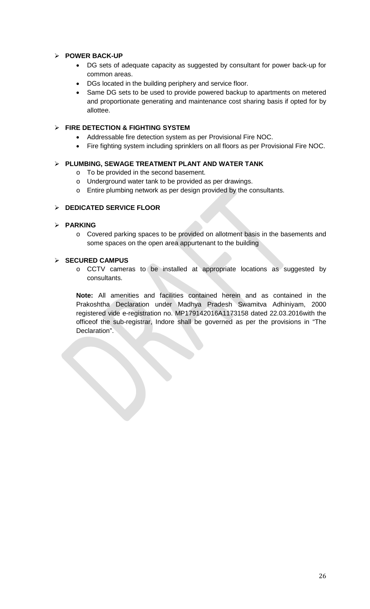# **POWER BACK-UP**

- DG sets of adequate capacity as suggested by consultant for power back-up for common areas.
- DGs located in the building periphery and service floor.
- Same DG sets to be used to provide powered backup to apartments on metered and proportionate generating and maintenance cost sharing basis if opted for by allottee.

# **FIRE DETECTION & FIGHTING SYSTEM**

- Addressable fire detection system as per Provisional Fire NOC.
- Fire fighting system including sprinklers on all floors as per Provisional Fire NOC.

# **PLUMBING, SEWAGE TREATMENT PLANT AND WATER TANK**

- o To be provided in the second basement.
- o Underground water tank to be provided as per drawings.
- o Entire plumbing network as per design provided by the consultants.

# **DEDICATED SERVICE FLOOR**

# **PARKING**

o Covered parking spaces to be provided on allotment basis in the basements and some spaces on the open area appurtenant to the building

# **SECURED CAMPUS**

o CCTV cameras to be installed at appropriate locations as suggested by consultants.

**Note:** All amenities and facilities contained herein and as contained in the Prakoshtha Declaration under Madhya Pradesh Swamitva Adhiniyam, 2000 registered vide e-registration no. MP179142016A1173158 dated 22.03.2016with the officeof the sub-registrar, Indore shall be governed as per the provisions in "The Declaration".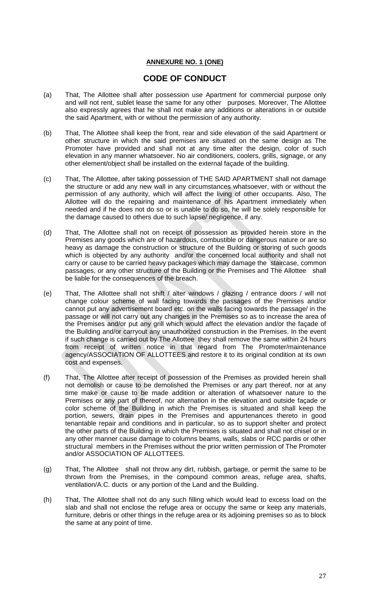# **ANNEXURE NO. 1 (ONE)**

# **CODE OF CONDUCT**

- (a) That, The Allottee shall after possession use Apartment for commercial purpose only and will not rent, sublet lease the same for any other purposes. Moreover, The Allottee also expressly agrees that he shall not make any additions or alterations in or outside the said Apartment, with or without the permission of any authority.
- (b) That, The Allottee shall keep the front, rear and side elevation of the said Apartment or other structure in which the said premises are situated on the same design as The Promoter have provided and shall not at any time alter the design, color of such elevation in any manner whatsoever. No air conditioners, coolers, grills, signage, or any other element/object shall be installed on the external façade of the building.
- (c) That, The Allottee, after taking possession of THE SAID APARTMENT shall not damage the structure or add any new wall in any circumstances whatsoever, with or without the permission of any authority, which will affect the living of other occupants. Also, The Allottee will do the repairing and maintenance of his Apartment immediately when needed and if he does not do so or is unable to do so, he will be solely responsible for the damage caused to others due to such lapse/ negligence, if any.
- (d) That, The Allottee shall not on receipt of possession as provided herein store in the Premises any goods which are of hazardous, combustible or dangerous nature or are so heavy as damage the construction or structure of the Building or storing of such goods which is objected by any authority and/or the concerned local authority and shall not carry or cause to be carried heavy packages which may damage the staircase, common passages, or any other structure of the Building or the Premises and The Allottee shall be liable for the consequences of the breach.
- (e) That, The Allottee shall not shift / alter windows / glazing / entrance doors / will not change colour scheme of wall facing towards the passages of the Premises and/or cannot put any advertisement board etc. on the walls facing towards the passage/ in the passage or will not carry out any changes in the Premises so as to increase the area of the Premises and/or put any grill which would affect the elevation and/or the façade of the Building and/or carryout any unauthorized construction in the Premises. In the event if such change is carried out by The Allottee they shall remove the same within 24 hours from receipt of written notice in that regard from The Promoter/maintenance agency/ASSOCIATION OF ALLOTTEES and restore it to its original condition at its own cost and expenses.
- (f) That, The Allottee after receipt of possession of the Premises as provided herein shall not demolish or cause to be demolished the Premises or any part thereof, nor at any time make or cause to be made addition or alteration of whatsoever nature to the Premises or any part of thereof, nor alternation in the elevation and outside façade or color scheme of the Building in which the Premises is situated and shall keep the portion, sewers, drain pipes in the Premises and appurtenances thereto in good tenantable repair and conditions and in particular, so as to support shelter and protect the other parts of the Building in which the Premises is situated and shall not chisel or in any other manner cause damage to columns beams, walls, slabs or RCC pardis or other structural members in the Premises without the prior written permission of The Promoter and/or ASSOCIATION OF ALLOTTEES.
- (g) That, The Allottee shall not throw any dirt, rubbish, garbage, or permit the same to be thrown from the Premises, in the compound common areas, refuge area, shafts, ventilation/A.C. ducts or any portion of the Land and the Building.
- (h) That, The Allottee shall not do any such filling which would lead to excess load on the slab and shall not enclose the refuge area or occupy the same or keep any materials, furniture, debris or other things in the refuge area or its adjoining premises so as to block the same at any point of time.